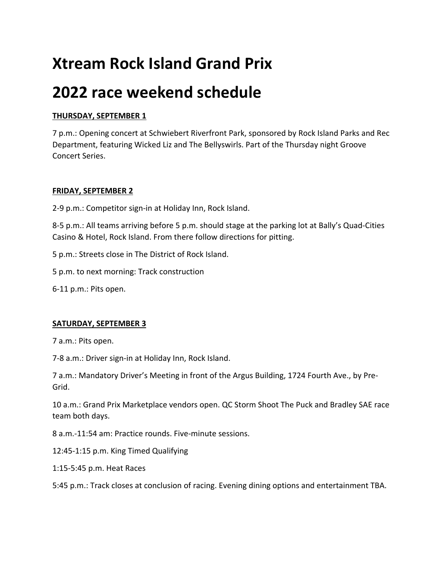# **Xtream Rock Island Grand Prix**

## **2022 race weekend schedule**

### **THURSDAY, SEPTEMBER 1**

7 p.m.: Opening concert at Schwiebert Riverfront Park, sponsored by Rock Island Parks and Rec Department, featuring Wicked Liz and The Bellyswirls. Part of the Thursday night Groove Concert Series.

#### **FRIDAY, SEPTEMBER 2**

2-9 p.m.: Competitor sign-in at Holiday Inn, Rock Island.

8-5 p.m.: All teams arriving before 5 p.m. should stage at the parking lot at Bally's Quad-Cities Casino & Hotel, Rock Island. From there follow directions for pitting.

5 p.m.: Streets close in The District of Rock Island.

5 p.m. to next morning: Track construction

6-11 p.m.: Pits open.

#### **SATURDAY, SEPTEMBER 3**

7 a.m.: Pits open.

7-8 a.m.: Driver sign-in at Holiday Inn, Rock Island.

7 a.m.: Mandatory Driver's Meeting in front of the Argus Building, 1724 Fourth Ave., by Pre-Grid.

10 a.m.: Grand Prix Marketplace vendors open. QC Storm Shoot The Puck and Bradley SAE race team both days.

8 a.m.-11:54 am: Practice rounds. Five-minute sessions.

12:45-1:15 p.m. King Timed Qualifying

1:15-5:45 p.m. Heat Races

5:45 p.m.: Track closes at conclusion of racing. Evening dining options and entertainment TBA.